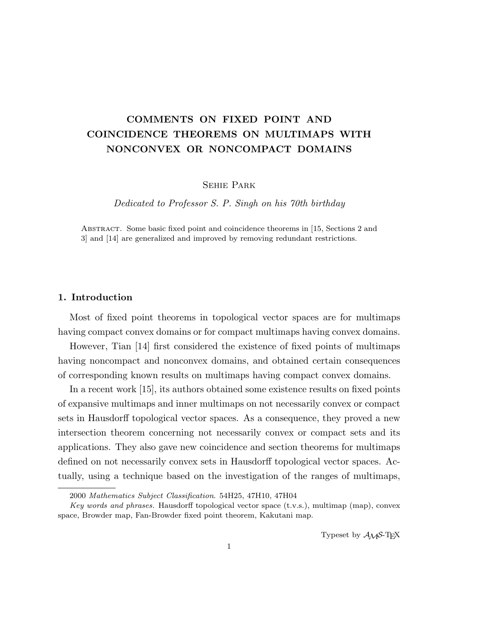# COMMENTS ON FIXED POINT AND COINCIDENCE THEOREMS ON MULTIMAPS WITH NONCONVEX OR NONCOMPACT DOMAINS

Sehie Park

Dedicated to Professor S. P. Singh on his 70th birthday

Abstract. Some basic fixed point and coincidence theorems in [15, Sections 2 and 3] and [14] are generalized and improved by removing redundant restrictions.

### 1. Introduction

Most of fixed point theorems in topological vector spaces are for multimaps having compact convex domains or for compact multimaps having convex domains.

However, Tian [14] first considered the existence of fixed points of multimaps having noncompact and nonconvex domains, and obtained certain consequences of corresponding known results on multimaps having compact convex domains.

In a recent work [15], its authors obtained some existence results on fixed points of expansive multimaps and inner multimaps on not necessarily convex or compact sets in Hausdorff topological vector spaces. As a consequence, they proved a new intersection theorem concerning not necessarily convex or compact sets and its applications. They also gave new coincidence and section theorems for multimaps defined on not necessarily convex sets in Hausdorff topological vector spaces. Actually, using a technique based on the investigation of the ranges of multimaps,

Typeset by  $A_{\mathcal{M}}S$ -T<sub>E</sub>X

<sup>2000</sup> Mathematics Subject Classification. 54H25, 47H10, 47H04

Key words and phrases. Hausdorff topological vector space  $(t.v.s.)$ , multimap (map), convex space, Browder map, Fan-Browder fixed point theorem, Kakutani map.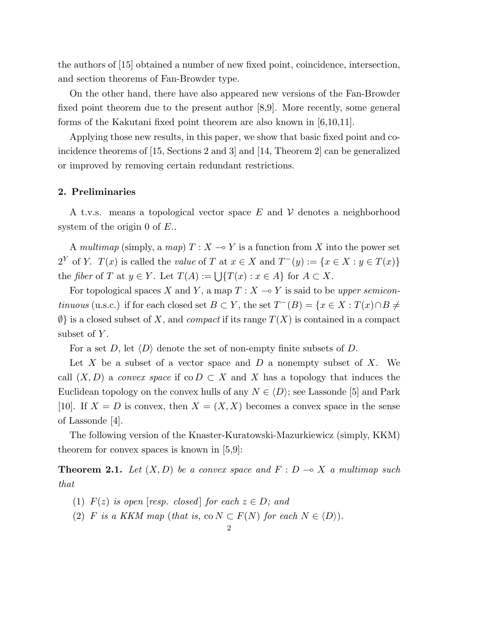the authors of [15] obtained a number of new fixed point, coincidence, intersection, and section theorems of Fan-Browder type.

On the other hand, there have also appeared new versions of the Fan-Browder fixed point theorem due to the present author [8,9]. More recently, some general forms of the Kakutani fixed point theorem are also known in  $[6,10,11]$ .

Applying those new results, in this paper, we show that basic fixed point and coincidence theorems of [15, Sections 2 and 3] and [14, Theorem 2] can be generalized or improved by removing certain redundant restrictions.

### 2. Preliminaries

A t.v.s. means a topological vector space  $E$  and  $V$  denotes a neighborhood system of the origin 0 of E..

A multimap (simply, a map)  $T : X \longrightarrow Y$  is a function from X into the power set  $2^Y$  of Y.  $T(x)$  is called the value of T at  $x \in X$  and  $T^-(y) := \{x \in X : y \in T(x)\}\$ the fiber of T at  $y \in Y$ . Let  $T(A) := \bigcup \{T(x) : x \in A\}$  for  $A \subset X$ .

For topological spaces X and Y, a map  $T : X \longrightarrow Y$  is said to be upper semicontinuous (u.s.c.) if for each closed set  $B \subset Y$ , the set  $T^{-}(B) = \{x \in X : T(x) \cap B \neq \emptyset\}$  $\emptyset$  is a closed subset of X, and *compact* if its range  $T(X)$  is contained in a compact subset of  $Y$ .

For a set D, let  $\langle D \rangle$  denote the set of non-empty finite subsets of D.

Let X be a subset of a vector space and D a nonempty subset of X. We call  $(X, D)$  a convex space if co  $D \subset X$  and X has a topology that induces the Euclidean topology on the convex hulls of any  $N \in \langle D \rangle$ ; see Lassonde [5] and Park [10]. If  $X = D$  is convex, then  $X = (X, X)$  becomes a convex space in the sense of Lassonde [4].

The following version of the Knaster-Kuratowski-Mazurkiewicz (simply, KKM) theorem for convex spaces is known in [5,9]:

**Theorem 2.1.** Let  $(X, D)$  be a convex space and  $F : D \to X$  a multimap such that

- (1)  $F(z)$  is open [resp. closed] for each  $z \in D$ ; and
- (2) F is a KKM map (that is, co  $N \subset F(N)$  for each  $N \in \langle D \rangle$ ).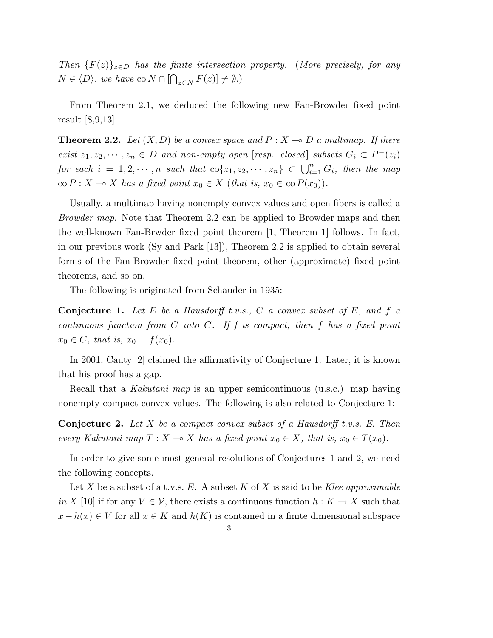Then  $\{F(z)\}_{z\in D}$  has the finite intersection property. (More precisely, for any  $N \in \langle D \rangle$ , we have co  $N \cap [\bigcap_{z \in N} F(z)] \neq \emptyset$ .)

From Theorem 2.1, we deduced the following new Fan-Browder fixed point result [8,9,13]:

**Theorem 2.2.** Let  $(X, D)$  be a convex space and  $P : X \to D$  a multimap. If there exist  $z_1, z_2, \dots, z_n \in D$  and non-empty open [resp. closed] subsets  $G_i \subset P^-(z_i)$ for each  $i = 1, 2, \dots, n$  such that  $\text{co}\{z_1, z_2, \dots, z_n\} \subset \bigcup_{i=1}^n G_i$ , then the map co  $P: X \to X$  has a fixed point  $x_0 \in X$  (that is,  $x_0 \in \text{co } P(x_0)$ ).

Usually, a multimap having nonempty convex values and open fibers is called a Browder map. Note that Theorem 2.2 can be applied to Browder maps and then the well-known Fan-Brwder fixed point theorem [1, Theorem 1] follows. In fact, in our previous work (Sy and Park [13]), Theorem 2.2 is applied to obtain several forms of the Fan-Browder fixed point theorem, other (approximate) fixed point theorems, and so on.

The following is originated from Schauder in 1935:

**Conjecture 1.** Let E be a Hausdorff t.v.s., C a convex subset of E, and f a continuous function from  $C$  into  $C$ . If  $f$  is compact, then  $f$  has a fixed point  $x_0 \in C$ , that is,  $x_0 = f(x_0)$ .

In 2001, Cauty [2] claimed the affirmativity of Conjecture 1. Later, it is known that his proof has a gap.

Recall that a *Kakutani map* is an upper semicontinuous (u.s.c.) map having nonempty compact convex values. The following is also related to Conjecture 1:

**Conjecture 2.** Let  $X$  be a compact convex subset of a Hausdorff t.v.s. E. Then every Kakutani map  $T : X \to X$  has a fixed point  $x_0 \in X$ , that is,  $x_0 \in T(x_0)$ .

In order to give some most general resolutions of Conjectures 1 and 2, we need the following concepts.

Let X be a subset of a t.v.s. E. A subset K of X is said to be Klee approximable in X [10] if for any  $V \in \mathcal{V}$ , there exists a continuous function  $h: K \to X$  such that  $x - h(x) \in V$  for all  $x \in K$  and  $h(K)$  is contained in a finite dimensional subspace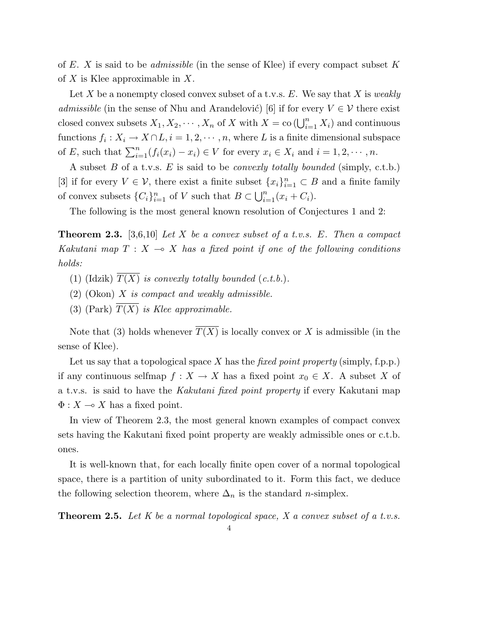of E. X is said to be *admissible* (in the sense of Klee) if every compact subset K of  $X$  is Klee approximable in  $X$ .

Let X be a nonempty closed convex subset of a t.v.s.  $E$ . We say that X is weakly admissible (in the sense of Nhu and Arandelović) [6] if for every  $V \in \mathcal{V}$  there exist closed convex subsets  $X_1, X_2, \dots, X_n$  of X with  $X = \text{co}(\bigcup_{i=1}^n X_i)$  and continuous functions  $f_i: X_i \to X \cap L, i = 1, 2, \dots, n$ , where L is a finite dimensional subspace of E, such that  $\sum_{i=1}^{n} (f_i(x_i) - x_i) \in V$  for every  $x_i \in X_i$  and  $i = 1, 2, \dots, n$ .

A subset  $B$  of a t.v.s.  $E$  is said to be *convexly totally bounded* (simply, c.t.b.) [3] if for every  $V \in \mathcal{V}$ , there exist a finite subset  $\{x_i\}_{i=1}^n \subset B$  and a finite family of convex subsets  ${C_i}_{i=1}^n$  of V such that  $B \subset$  $\frac{3}{1}$  |  $n$  $\sum_{i=1}^{n} (x_i + C_i).$ 

The following is the most general known resolution of Conjectures 1 and 2:

**Theorem 2.3.** [3,6,10] Let X be a convex subset of a t.v.s. E. Then a compact Kakutani map  $T : X \to X$  has a fixed point if one of the following conditions holds:

- (1) (Idzik)  $\overline{T(X)}$  is convexly totally bounded (c.t.b.).
- $(2)$  (Okon) X is compact and weakly admissible.
- (3) (Park)  $\overline{T(X)}$  is Klee approximable.

Note that (3) holds whenever  $\overline{T(X)}$  is locally convex or X is admissible (in the sense of Klee).

Let us say that a topological space X has the *fixed point property* (simply, f.p.p.) if any continuous selfmap  $f: X \to X$  has a fixed point  $x_0 \in X$ . A subset X of a t.v.s. is said to have the Kakutani fixed point property if every Kakutani map  $\Phi: X \longrightarrow X$  has a fixed point.

In view of Theorem 2.3, the most general known examples of compact convex sets having the Kakutani fixed point property are weakly admissible ones or c.t.b. ones.

It is well-known that, for each locally finite open cover of a normal topological space, there is a partition of unity subordinated to it. Form this fact, we deduce the following selection theorem, where  $\Delta_n$  is the standard *n*-simplex.

**Theorem 2.5.** Let  $K$  be a normal topological space,  $X$  a convex subset of a t.v.s.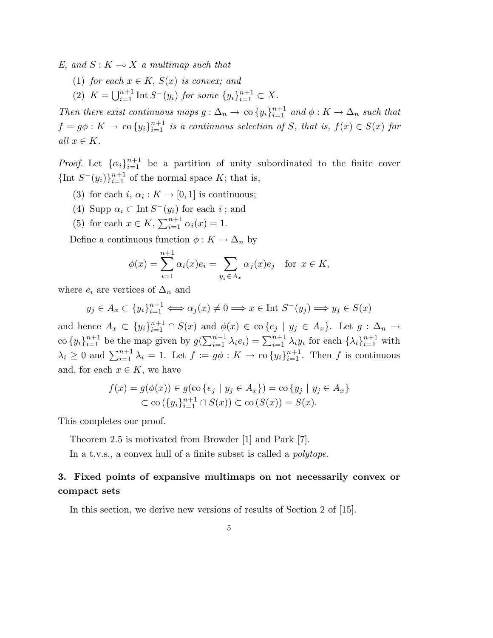E, and  $S: K \longrightarrow X$  a multimap such that

- (1) for each  $x \in K$ ,  $S(x)$  is convex; and
- (2)  $K = \bigcup_{i=1}^{n+1}$  $i=1 \atop i=1}^{n+1}$  Int  $S^-(y_i)$  for some  $\{y_i\}_{i=1}^{n+1} \subset X$ .

Then there exist continuous maps  $g: \Delta_n \to \infty$   $\{y_i\}_{i=1}^{n+1}$  and  $\phi: K \to \Delta_n$  such that  $f = g\phi: K \to \infty$  { $y_i$ } $_{i=1}^{n+1}$  is a continuous selection of S, that is,  $f(x) \in S(x)$  for all  $x \in K$ .

*Proof.* Let  $\{\alpha_i\}_{i=1}^{n+1}$  be a partition of unity subordinated to the finite cover {Int  $S^-(y_i)$ } $_{i=1}^{n+1}$  of the normal space K; that is,

- (3) for each  $i, \alpha_i : K \to [0, 1]$  is continuous;
- (4) Supp  $\alpha_i \subset \text{Int } S^-(y_i)$  for each i; and
- (5) for each  $x \in K$ ,  $\sum_{i=1}^{n+1}$  $\sum_{i=1}^{n+1} \alpha_i(x) = 1.$

Define a continuous function  $\phi: K \to \Delta_n$  by

$$
\phi(x) = \sum_{i=1}^{n+1} \alpha_i(x)e_i = \sum_{y_j \in A_x} \alpha_j(x)e_j \quad \text{for } x \in K,
$$

where  $e_i$  are vertices of  $\Delta_n$  and

$$
y_j \in A_x \subset \{y_i\}_{i=1}^{n+1} \Longleftrightarrow \alpha_j(x) \neq 0 \Longrightarrow x \in \text{Int } S^-(y_j) \Longrightarrow y_j \in S(x)
$$

and hence  $A_x \subset \{y_i\}_{i=1}^{n+1} \cap S(x)$  and  $\phi(x) \in \text{co}\{e_j \mid y_j \in A_x\}$ . Let  $g: \Delta_n \to$ co  $\{y_i\}_{i=1}^{n+1}$  be the map given by  $g$  $\sum_{i=1}^{n+1} \lambda_i e_i$  =  $\sum_{i=1}^{n+1} \lambda_i y_i$  for each  $\{\lambda_i\}_{i=1}^{n+1}$  with  $\lambda_i \geq 0$  and  $\sum_{i=1}^{n+1} \lambda_i = 1$ . Let  $f := g\phi : K \to \infty \{y_i\}_{i=1}^{n+1}$ . Then f is continuous and, for each  $x \in K$ , we have

$$
f(x) = g(\phi(x)) \in g(\text{co } \{e_j \mid y_j \in A_x\}) = \text{co } \{y_j \mid y_j \in A_x\}
$$
  

$$
\subset \text{co } (\{y_i\}_{i=1}^{n+1} \cap S(x)) \subset \text{co } (S(x)) = S(x).
$$

This completes our proof.

Theorem 2.5 is motivated from Browder [1] and Park [7].

In a t.v.s., a convex hull of a finite subset is called a *polytope*.

## 3. Fixed points of expansive multimaps on not necessarily convex or compact sets

In this section, we derive new versions of results of Section 2 of [15].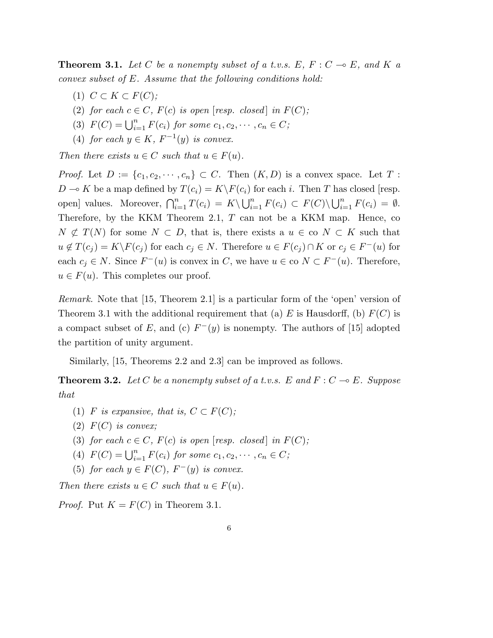**Theorem 3.1.** Let C be a nonempty subset of a t.v.s.  $E, F : C \multimap E$ , and K a convex subset of E. Assume that the following conditions hold:

- (1)  $C \subset K \subset F(C);$
- (2) for each  $c \in C$ ,  $F(c)$  is open [resp. closed] in  $F(C)$ ;
- (3)  $F(C) = \bigcup_{i=1}^{n} F(c_i)$  for some  $c_1, c_2, \dots, c_n \in C$ ;
- (4) for each  $y \in K$ ,  $F^{-1}(y)$  is convex.

Then there exists  $u \in C$  such that  $u \in F(u)$ .

*Proof.* Let  $D := \{c_1, c_2, \dots, c_n\} \subset C$ . Then  $(K, D)$  is a convex space. Let T:  $D \to K$  be a map defined by  $T(c_i) = K\backslash F(c_i)$  for each i. Then T has closed [resp. open] values. Moreover,  $\bigcap_{i=1}^{n} T(c_i) = K \setminus$  $\frac{1}{\sqrt{n}}$  $\sum_{i=1}^{n} F(c_i) \subset F(C) \setminus$  $\frac{1}{\ln n}$  $\sum_{i=1}^n F(c_i) = \emptyset.$ Therefore, by the KKM Theorem 2.1,  $T$  can not be a KKM map. Hence, co  $N \not\subset T(N)$  for some  $N \subset D$ , that is, there exists a  $u \in \text{co } N \subset K$  such that  $u \notin T(c_j) = K \backslash F(c_j)$  for each  $c_j \in N$ . Therefore  $u \in F(c_j) \cap K$  or  $c_j \in F^-(u)$  for each  $c_j \in N$ . Since  $F^-(u)$  is convex in C, we have  $u \in \text{co } N \subset F^-(u)$ . Therefore,  $u \in F(u)$ . This completes our proof.

Remark. Note that [15, Theorem 2.1] is a particular form of the 'open' version of Theorem 3.1 with the additional requirement that (a) E is Hausdorff, (b)  $F(C)$  is a compact subset of E, and (c)  $F^-(y)$  is nonempty. The authors of [15] adopted the partition of unity argument.

Similarly, [15, Theorems 2.2 and 2.3] can be improved as follows.

**Theorem 3.2.** Let C be a nonempty subset of a t.v.s. E and  $F : C \multimap E$ . Suppose that

- (1) F is expansive, that is,  $C \subset F(C)$ ;
- $(2)$   $F(C)$  is convex;
- (3) for each  $c \in C$ ,  $F(c)$  is open [resp. closed] in  $F(C)$ ;
- (4)  $F(C) = \bigcup_{i=1}^{n} F(c_i)$  for some  $c_1, c_2, \dots, c_n \in C$ ;
- (5) for each  $y \in F(C)$ ,  $F^-(y)$  is convex.

Then there exists  $u \in C$  such that  $u \in F(u)$ .

*Proof.* Put  $K = F(C)$  in Theorem 3.1.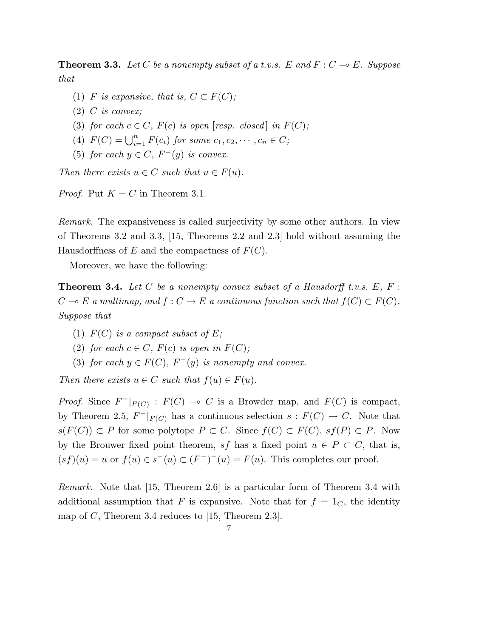**Theorem 3.3.** Let C be a nonempty subset of a t.v.s. E and  $F : C \to E$ . Suppose that

- (1) F is expansive, that is,  $C \subset F(C)$ ;
- (2) C is convex;
- (3) for each  $c \in C$ ,  $F(c)$  is open [resp. closed] in  $F(C)$ ;
- (4)  $F(C) = \bigcup_{i=1}^{n} F(c_i)$  for some  $c_1, c_2, \dots, c_n \in C$ ;
- (5) for each  $y \in C$ ,  $F^-(y)$  is convex.

Then there exists  $u \in C$  such that  $u \in F(u)$ .

*Proof.* Put  $K = C$  in Theorem 3.1.

Remark. The expansiveness is called surjectivity by some other authors. In view of Theorems 3.2 and 3.3, [15, Theorems 2.2 and 2.3] hold without assuming the Hausdorffness of E and the compactness of  $F(C)$ .

Moreover, we have the following:

**Theorem 3.4.** Let C be a nonempty convex subset of a Hausdorff t.v.s.  $E, F$ :  $C \multimap E$  a multimap, and  $f : C \to E$  a continuous function such that  $f(C) \subset F(C)$ . Suppose that

- (1)  $F(C)$  is a compact subset of E;
- (2) for each  $c \in C$ ,  $F(c)$  is open in  $F(C)$ ;
- (3) for each  $y \in F(C)$ ,  $F^-(y)$  is nonempty and convex.

Then there exists  $u \in C$  such that  $f(u) \in F(u)$ .

*Proof.* Since  $F^{-}|_{F(C)}$ :  $F(C) \multimap C$  is a Browder map, and  $F(C)$  is compact, by Theorem 2.5,  $F^-|_{F(C)}$  has a continuous selection  $s : F(C) \to C$ . Note that  $s(F(C)) \subset P$  for some polytope  $P \subset C$ . Since  $f(C) \subset F(C)$ ,  $sf(P) \subset P$ . Now by the Brouwer fixed point theorem, sf has a fixed point  $u \in P \subset C$ , that is,  $(s f)(u) = u$  or  $f(u) \in s^-(u) \subset (F^-)^-(u) = F(u)$ . This completes our proof.

Remark. Note that [15, Theorem 2.6] is a particular form of Theorem 3.4 with additional assumption that F is expansive. Note that for  $f = 1<sub>C</sub>$ , the identity map of C, Theorem 3.4 reduces to  $[15,$  Theorem 2.3.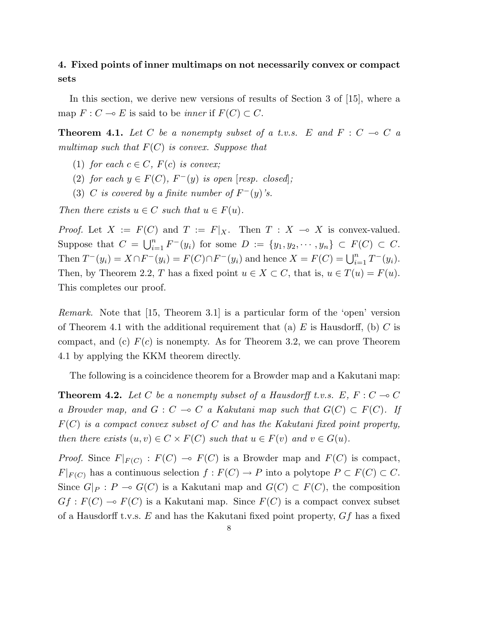## 4. Fixed points of inner multimaps on not necessarily convex or compact sets

In this section, we derive new versions of results of Section 3 of [15], where a map  $F : C \multimap E$  is said to be *inner* if  $F(C) \subset C$ .

**Theorem 4.1.** Let C be a nonempty subset of a t.v.s. E and  $F : C \multimap C$  a multimap such that  $F(C)$  is convex. Suppose that

- (1) for each  $c \in C$ ,  $F(c)$  is convex;
- (2) for each  $y \in F(C)$ ,  $F^{-}(y)$  is open [resp. closed];
- (3) C is covered by a finite number of  $F^-(y)$ 's.

Then there exists  $u \in C$  such that  $u \in F(u)$ .

*Proof.* Let  $X := F(C)$  and  $T := F|_X$ . Then  $T : X \to X$  is convex-valued. Suppose that  $C = \bigcup_{i=1}^{n}$  $_{i=1}^{n} F^{-}(y_i)$  for some  $D := \{y_1, y_2, \cdots, y_n\} \subset F(C) \subset C$ . Then  $T^-(y_i) = X \cap F^-(y_i) = F(C) \cap F^-(y_i)$  and hence  $X = F(C) = \bigcup_{i=1}^n T^-(y_i)$ . Then, by Theorem 2.2, T has a fixed point  $u \in X \subset C$ , that is,  $u \in T(u) = F(u)$ . This completes our proof.

Remark. Note that [15, Theorem 3.1] is a particular form of the 'open' version of Theorem 4.1 with the additional requirement that (a)  $E$  is Hausdorff, (b)  $C$  is compact, and (c)  $F(c)$  is nonempty. As for Theorem 3.2, we can prove Theorem 4.1 by applying the KKM theorem directly.

The following is a coincidence theorem for a Browder map and a Kakutani map:

**Theorem 4.2.** Let C be a nonempty subset of a Hausdorff t.v.s. E,  $F : C \to C$ a Browder map, and  $G : C \multimap C$  a Kakutani map such that  $G(C) \subset F(C)$ . If  $F(C)$  is a compact convex subset of C and has the Kakutani fixed point property, then there exists  $(u, v) \in C \times F(C)$  such that  $u \in F(v)$  and  $v \in G(u)$ .

*Proof.* Since  $F|_{F(C)}$ :  $F(C) \multimap F(C)$  is a Browder map and  $F(C)$  is compact,  $F|_{F(C)}$  has a continuous selection  $f: F(C) \to P$  into a polytope  $P \subset F(C) \subset C$ . Since  $G|_P : P \multimap G(C)$  is a Kakutani map and  $G(C) \subset F(C)$ , the composition  $Gf : F(C) \multimap F(C)$  is a Kakutani map. Since  $F(C)$  is a compact convex subset of a Hausdorff t.v.s.  $E$  and has the Kakutani fixed point property,  $Gf$  has a fixed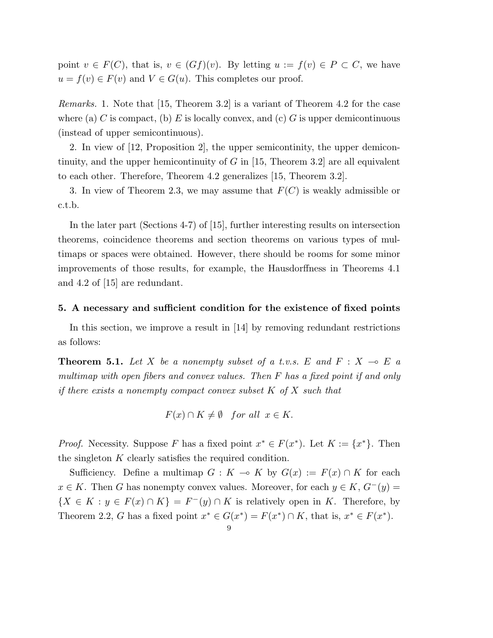point  $v \in F(C)$ , that is,  $v \in (Gf)(v)$ . By letting  $u := f(v) \in P \subset C$ , we have  $u = f(v) \in F(v)$  and  $V \in G(u)$ . This completes our proof.

Remarks. 1. Note that [15, Theorem 3.2] is a variant of Theorem 4.2 for the case where (a) C is compact, (b) E is locally convex, and (c) G is upper demicontinuous (instead of upper semicontinuous).

2. In view of [12, Proposition 2], the upper semicontinity, the upper demicontinuity, and the upper hemicontinuity of G in  $[15,$  Theorem 3.2 are all equivalent to each other. Therefore, Theorem 4.2 generalizes [15, Theorem 3.2].

3. In view of Theorem 2.3, we may assume that  $F(C)$  is weakly admissible or c.t.b.

In the later part (Sections 4-7) of [15], further interesting results on intersection theorems, coincidence theorems and section theorems on various types of multimaps or spaces were obtained. However, there should be rooms for some minor improvements of those results, for example, the Hausdorffness in Theorems 4.1 and 4.2 of [15] are redundant.

#### 5. A necessary and sufficient condition for the existence of fixed points

In this section, we improve a result in [14] by removing redundant restrictions as follows:

**Theorem 5.1.** Let X be a nonempty subset of a t.v.s. E and  $F : X \multimap E$  a multimap with open fibers and convex values. Then F has a fixed point if and only if there exists a nonempty compact convex subset  $K$  of  $X$  such that

$$
F(x) \cap K \neq \emptyset
$$
 for all  $x \in K$ .

*Proof.* Necessity. Suppose F has a fixed point  $x^* \in F(x^*)$ . Let  $K := \{x^*\}$ . Then the singleton K clearly satisfies the required condition.

Sufficiency. Define a multimap  $G : K \to K$  by  $G(x) := F(x) \cap K$  for each  $x \in K$ . Then G has nonempty convex values. Moreover, for each  $y \in K$ ,  $G^-(y)$  =  ${X \in K : y \in F(x) \cap K} = F^{-}(y) \cap K$  is relatively open in K. Therefore, by Theorem 2.2, G has a fixed point  $x^* \in G(x^*) = F(x^*) \cap K$ , that is,  $x^* \in F(x^*)$ .